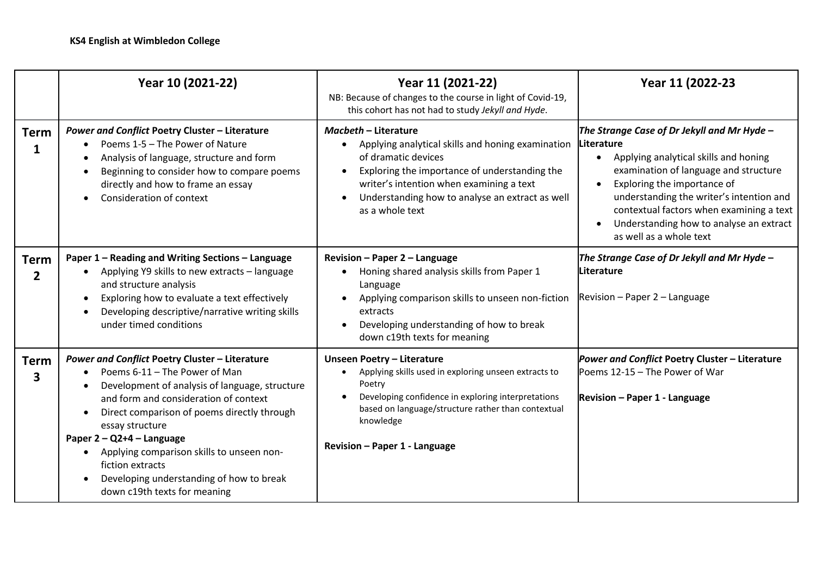|                  | Year 10 (2021-22)                                                                                                                                                                                                                                                                                                                                                                                                                             | Year 11 (2021-22)<br>NB: Because of changes to the course in light of Covid-19,<br>this cohort has not had to study Jekyll and Hyde.                                                                                                                                                                 | Year 11 (2022-23                                                                                                                                                                                                                                                                                                                         |
|------------------|-----------------------------------------------------------------------------------------------------------------------------------------------------------------------------------------------------------------------------------------------------------------------------------------------------------------------------------------------------------------------------------------------------------------------------------------------|------------------------------------------------------------------------------------------------------------------------------------------------------------------------------------------------------------------------------------------------------------------------------------------------------|------------------------------------------------------------------------------------------------------------------------------------------------------------------------------------------------------------------------------------------------------------------------------------------------------------------------------------------|
| <b>Term</b><br>1 | <b>Power and Conflict Poetry Cluster - Literature</b><br>Poems 1-5 - The Power of Nature<br>Analysis of language, structure and form<br>Beginning to consider how to compare poems<br>directly and how to frame an essay<br>Consideration of context                                                                                                                                                                                          | <b>Macbeth - Literature</b><br>Applying analytical skills and honing examination<br>$\bullet$<br>of dramatic devices<br>Exploring the importance of understanding the<br>$\bullet$<br>writer's intention when examining a text<br>Understanding how to analyse an extract as well<br>as a whole text | The Strange Case of Dr Jekyll and Mr Hyde -<br>Literature<br>Applying analytical skills and honing<br>examination of language and structure<br>Exploring the importance of<br>understanding the writer's intention and<br>contextual factors when examining a text<br>Understanding how to analyse an extract<br>as well as a whole text |
| <b>Term</b><br>2 | Paper 1 - Reading and Writing Sections - Language<br>Applying Y9 skills to new extracts - language<br>and structure analysis<br>Exploring how to evaluate a text effectively<br>Developing descriptive/narrative writing skills<br>under timed conditions                                                                                                                                                                                     | Revision - Paper 2 - Language<br>Honing shared analysis skills from Paper 1<br>$\bullet$<br>Language<br>Applying comparison skills to unseen non-fiction<br>$\bullet$<br>extracts<br>Developing understanding of how to break<br>down c19th texts for meaning                                        | The Strange Case of Dr Jekyll and Mr Hyde -<br>Literature<br>Revision - Paper 2 - Language                                                                                                                                                                                                                                               |
| <b>Term</b><br>3 | <b>Power and Conflict Poetry Cluster - Literature</b><br>Poems 6-11 - The Power of Man<br>Development of analysis of language, structure<br>and form and consideration of context<br>Direct comparison of poems directly through<br>essay structure<br>Paper $2 - Q$ 2+4 – Language<br>Applying comparison skills to unseen non-<br>fiction extracts<br>Developing understanding of how to break<br>$\bullet$<br>down c19th texts for meaning | <b>Unseen Poetry - Literature</b><br>Applying skills used in exploring unseen extracts to<br>Poetry<br>Developing confidence in exploring interpretations<br>based on language/structure rather than contextual<br>knowledge<br>Revision - Paper 1 - Language                                        | Power and Conflict Poetry Cluster - Literature<br>Poems 12-15 - The Power of War<br>Revision - Paper 1 - Language                                                                                                                                                                                                                        |